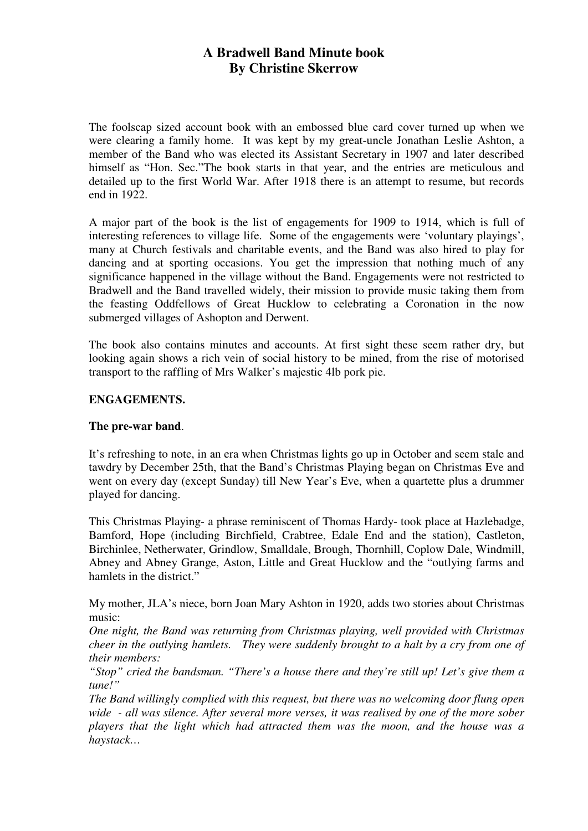# **A Bradwell Band Minute book By Christine Skerrow**

The foolscap sized account book with an embossed blue card cover turned up when we were clearing a family home. It was kept by my great-uncle Jonathan Leslie Ashton, a member of the Band who was elected its Assistant Secretary in 1907 and later described himself as "Hon. Sec."The book starts in that year, and the entries are meticulous and detailed up to the first World War. After 1918 there is an attempt to resume, but records end in 1922.

A major part of the book is the list of engagements for 1909 to 1914, which is full of interesting references to village life. Some of the engagements were 'voluntary playings', many at Church festivals and charitable events, and the Band was also hired to play for dancing and at sporting occasions. You get the impression that nothing much of any significance happened in the village without the Band. Engagements were not restricted to Bradwell and the Band travelled widely, their mission to provide music taking them from the feasting Oddfellows of Great Hucklow to celebrating a Coronation in the now submerged villages of Ashopton and Derwent.

The book also contains minutes and accounts. At first sight these seem rather dry, but looking again shows a rich vein of social history to be mined, from the rise of motorised transport to the raffling of Mrs Walker's majestic 4lb pork pie.

#### **ENGAGEMENTS.**

#### **The pre-war band**.

It's refreshing to note, in an era when Christmas lights go up in October and seem stale and tawdry by December 25th, that the Band's Christmas Playing began on Christmas Eve and went on every day (except Sunday) till New Year's Eve, when a quartette plus a drummer played for dancing.

This Christmas Playing- a phrase reminiscent of Thomas Hardy- took place at Hazlebadge, Bamford, Hope (including Birchfield, Crabtree, Edale End and the station), Castleton, Birchinlee, Netherwater, Grindlow, Smalldale, Brough, Thornhill, Coplow Dale, Windmill, Abney and Abney Grange, Aston, Little and Great Hucklow and the "outlying farms and hamlets in the district."

My mother, JLA's niece, born Joan Mary Ashton in 1920, adds two stories about Christmas music:

*One night, the Band was returning from Christmas playing, well provided with Christmas cheer in the outlying hamlets. They were suddenly brought to a halt by a cry from one of their members:* 

*"Stop" cried the bandsman. "There's a house there and they're still up! Let's give them a tune!"* 

*The Band willingly complied with this request, but there was no welcoming door flung open wide - all was silence. After several more verses, it was realised by one of the more sober players that the light which had attracted them was the moon, and the house was a haystack…*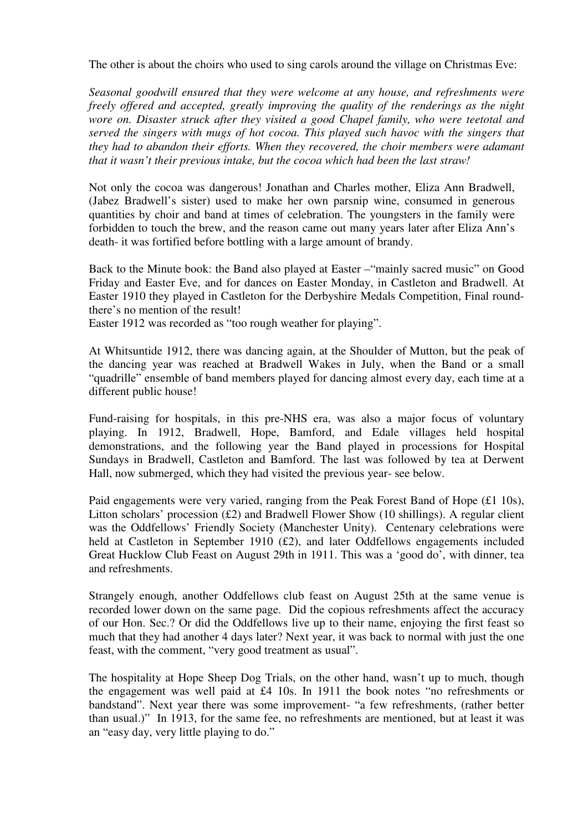The other is about the choirs who used to sing carols around the village on Christmas Eve:

*Seasonal goodwill ensured that they were welcome at any house, and refreshments were freely offered and accepted, greatly improving the quality of the renderings as the night wore on. Disaster struck after they visited a good Chapel family, who were teetotal and served the singers with mugs of hot cocoa. This played such havoc with the singers that they had to abandon their efforts. When they recovered, the choir members were adamant that it wasn't their previous intake, but the cocoa which had been the last straw!* 

Not only the cocoa was dangerous! Jonathan and Charles mother, Eliza Ann Bradwell, (Jabez Bradwell's sister) used to make her own parsnip wine, consumed in generous quantities by choir and band at times of celebration. The youngsters in the family were forbidden to touch the brew, and the reason came out many years later after Eliza Ann's death- it was fortified before bottling with a large amount of brandy.

Back to the Minute book: the Band also played at Easter –"mainly sacred music" on Good Friday and Easter Eve, and for dances on Easter Monday, in Castleton and Bradwell. At Easter 1910 they played in Castleton for the Derbyshire Medals Competition, Final roundthere's no mention of the result!

Easter 1912 was recorded as "too rough weather for playing".

At Whitsuntide 1912, there was dancing again, at the Shoulder of Mutton, but the peak of the dancing year was reached at Bradwell Wakes in July, when the Band or a small "quadrille" ensemble of band members played for dancing almost every day, each time at a different public house!

Fund-raising for hospitals, in this pre-NHS era, was also a major focus of voluntary playing. In 1912, Bradwell, Hope, Bamford, and Edale villages held hospital demonstrations, and the following year the Band played in processions for Hospital Sundays in Bradwell, Castleton and Bamford. The last was followed by tea at Derwent Hall, now submerged, which they had visited the previous year- see below.

Paid engagements were very varied, ranging from the Peak Forest Band of Hope (£1 10s), Litton scholars' procession (£2) and Bradwell Flower Show (10 shillings). A regular client was the Oddfellows' Friendly Society (Manchester Unity). Centenary celebrations were held at Castleton in September 1910 (£2), and later Oddfellows engagements included Great Hucklow Club Feast on August 29th in 1911. This was a 'good do', with dinner, tea and refreshments.

Strangely enough, another Oddfellows club feast on August 25th at the same venue is recorded lower down on the same page. Did the copious refreshments affect the accuracy of our Hon. Sec.? Or did the Oddfellows live up to their name, enjoying the first feast so much that they had another 4 days later? Next year, it was back to normal with just the one feast, with the comment, "very good treatment as usual".

The hospitality at Hope Sheep Dog Trials, on the other hand, wasn't up to much, though the engagement was well paid at £4 10s. In 1911 the book notes "no refreshments or bandstand". Next year there was some improvement- "a few refreshments, (rather better than usual.)" In 1913, for the same fee, no refreshments are mentioned, but at least it was an "easy day, very little playing to do."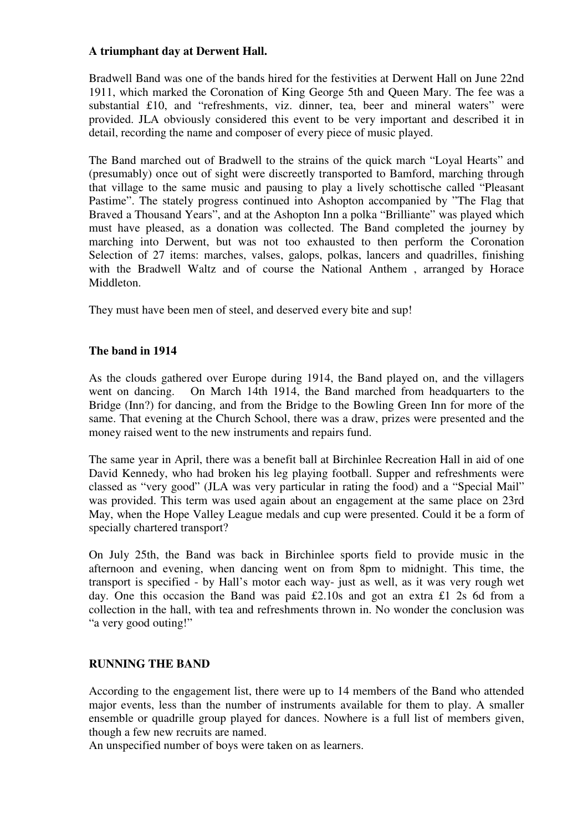#### **A triumphant day at Derwent Hall.**

Bradwell Band was one of the bands hired for the festivities at Derwent Hall on June 22nd 1911, which marked the Coronation of King George 5th and Queen Mary. The fee was a substantial £10, and "refreshments, viz. dinner, tea, beer and mineral waters" were provided. JLA obviously considered this event to be very important and described it in detail, recording the name and composer of every piece of music played.

The Band marched out of Bradwell to the strains of the quick march "Loyal Hearts" and (presumably) once out of sight were discreetly transported to Bamford, marching through that village to the same music and pausing to play a lively schottische called "Pleasant Pastime". The stately progress continued into Ashopton accompanied by "The Flag that Braved a Thousand Years", and at the Ashopton Inn a polka "Brilliante" was played which must have pleased, as a donation was collected. The Band completed the journey by marching into Derwent, but was not too exhausted to then perform the Coronation Selection of 27 items: marches, valses, galops, polkas, lancers and quadrilles, finishing with the Bradwell Waltz and of course the National Anthem , arranged by Horace Middleton.

They must have been men of steel, and deserved every bite and sup!

#### **The band in 1914**

As the clouds gathered over Europe during 1914, the Band played on, and the villagers went on dancing. On March 14th 1914, the Band marched from headquarters to the Bridge (Inn?) for dancing, and from the Bridge to the Bowling Green Inn for more of the same. That evening at the Church School, there was a draw, prizes were presented and the money raised went to the new instruments and repairs fund.

The same year in April, there was a benefit ball at Birchinlee Recreation Hall in aid of one David Kennedy, who had broken his leg playing football. Supper and refreshments were classed as "very good" (JLA was very particular in rating the food) and a "Special Mail" was provided. This term was used again about an engagement at the same place on 23rd May, when the Hope Valley League medals and cup were presented. Could it be a form of specially chartered transport?

On July 25th, the Band was back in Birchinlee sports field to provide music in the afternoon and evening, when dancing went on from 8pm to midnight. This time, the transport is specified - by Hall's motor each way- just as well, as it was very rough wet day. One this occasion the Band was paid £2.10s and got an extra £1 2s 6d from a collection in the hall, with tea and refreshments thrown in. No wonder the conclusion was "a very good outing!"

## **RUNNING THE BAND**

According to the engagement list, there were up to 14 members of the Band who attended major events, less than the number of instruments available for them to play. A smaller ensemble or quadrille group played for dances. Nowhere is a full list of members given, though a few new recruits are named.

An unspecified number of boys were taken on as learners.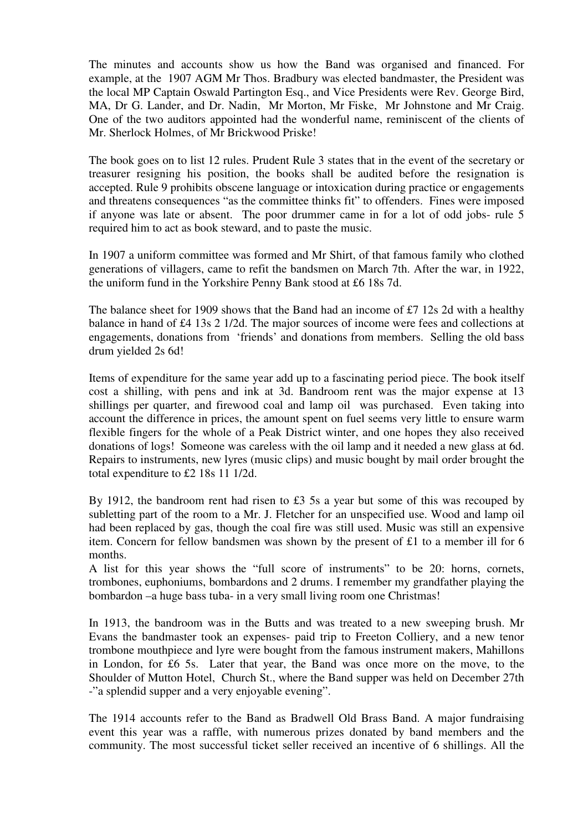The minutes and accounts show us how the Band was organised and financed. For example, at the 1907 AGM Mr Thos. Bradbury was elected bandmaster, the President was the local MP Captain Oswald Partington Esq., and Vice Presidents were Rev. George Bird, MA, Dr G. Lander, and Dr. Nadin, Mr Morton, Mr Fiske, Mr Johnstone and Mr Craig. One of the two auditors appointed had the wonderful name, reminiscent of the clients of Mr. Sherlock Holmes, of Mr Brickwood Priske!

The book goes on to list 12 rules. Prudent Rule 3 states that in the event of the secretary or treasurer resigning his position, the books shall be audited before the resignation is accepted. Rule 9 prohibits obscene language or intoxication during practice or engagements and threatens consequences "as the committee thinks fit" to offenders. Fines were imposed if anyone was late or absent. The poor drummer came in for a lot of odd jobs- rule 5 required him to act as book steward, and to paste the music.

In 1907 a uniform committee was formed and Mr Shirt, of that famous family who clothed generations of villagers, came to refit the bandsmen on March 7th. After the war, in 1922, the uniform fund in the Yorkshire Penny Bank stood at £6 18s 7d.

The balance sheet for 1909 shows that the Band had an income of £7 12s 2d with a healthy balance in hand of £4 13s 2 1/2d. The major sources of income were fees and collections at engagements, donations from 'friends' and donations from members. Selling the old bass drum yielded 2s 6d!

Items of expenditure for the same year add up to a fascinating period piece. The book itself cost a shilling, with pens and ink at 3d. Bandroom rent was the major expense at 13 shillings per quarter, and firewood coal and lamp oil was purchased. Even taking into account the difference in prices, the amount spent on fuel seems very little to ensure warm flexible fingers for the whole of a Peak District winter, and one hopes they also received donations of logs! Someone was careless with the oil lamp and it needed a new glass at 6d. Repairs to instruments, new lyres (music clips) and music bought by mail order brought the total expenditure to £2 18s 11 1/2d.

By 1912, the bandroom rent had risen to £3 5s a year but some of this was recouped by subletting part of the room to a Mr. J. Fletcher for an unspecified use. Wood and lamp oil had been replaced by gas, though the coal fire was still used. Music was still an expensive item. Concern for fellow bandsmen was shown by the present of £1 to a member ill for 6 months.

A list for this year shows the "full score of instruments" to be 20: horns, cornets, trombones, euphoniums, bombardons and 2 drums. I remember my grandfather playing the bombardon –a huge bass tuba- in a very small living room one Christmas!

In 1913, the bandroom was in the Butts and was treated to a new sweeping brush. Mr Evans the bandmaster took an expenses- paid trip to Freeton Colliery, and a new tenor trombone mouthpiece and lyre were bought from the famous instrument makers, Mahillons in London, for £6 5s. Later that year, the Band was once more on the move, to the Shoulder of Mutton Hotel, Church St., where the Band supper was held on December 27th -"a splendid supper and a very enjoyable evening".

The 1914 accounts refer to the Band as Bradwell Old Brass Band. A major fundraising event this year was a raffle, with numerous prizes donated by band members and the community. The most successful ticket seller received an incentive of 6 shillings. All the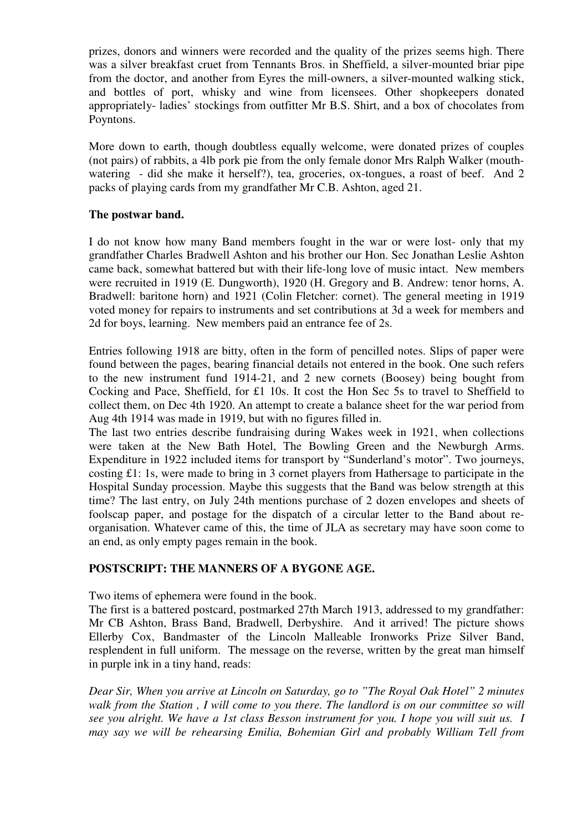prizes, donors and winners were recorded and the quality of the prizes seems high. There was a silver breakfast cruet from Tennants Bros. in Sheffield, a silver-mounted briar pipe from the doctor, and another from Eyres the mill-owners, a silver-mounted walking stick, and bottles of port, whisky and wine from licensees. Other shopkeepers donated appropriately- ladies' stockings from outfitter Mr B.S. Shirt, and a box of chocolates from Poyntons.

More down to earth, though doubtless equally welcome, were donated prizes of couples (not pairs) of rabbits, a 4lb pork pie from the only female donor Mrs Ralph Walker (mouthwatering - did she make it herself?), tea, groceries, ox-tongues, a roast of beef. And 2 packs of playing cards from my grandfather Mr C.B. Ashton, aged 21.

#### **The postwar band.**

I do not know how many Band members fought in the war or were lost- only that my grandfather Charles Bradwell Ashton and his brother our Hon. Sec Jonathan Leslie Ashton came back, somewhat battered but with their life-long love of music intact. New members were recruited in 1919 (E. Dungworth), 1920 (H. Gregory and B. Andrew: tenor horns, A. Bradwell: baritone horn) and 1921 (Colin Fletcher: cornet). The general meeting in 1919 voted money for repairs to instruments and set contributions at 3d a week for members and 2d for boys, learning. New members paid an entrance fee of 2s.

Entries following 1918 are bitty, often in the form of pencilled notes. Slips of paper were found between the pages, bearing financial details not entered in the book. One such refers to the new instrument fund 1914-21, and 2 new cornets (Boosey) being bought from Cocking and Pace, Sheffield, for £1 10s. It cost the Hon Sec 5s to travel to Sheffield to collect them, on Dec 4th 1920. An attempt to create a balance sheet for the war period from Aug 4th 1914 was made in 1919, but with no figures filled in.

The last two entries describe fundraising during Wakes week in 1921, when collections were taken at the New Bath Hotel, The Bowling Green and the Newburgh Arms. Expenditure in 1922 included items for transport by "Sunderland's motor". Two journeys, costing £1: 1s, were made to bring in 3 cornet players from Hathersage to participate in the Hospital Sunday procession. Maybe this suggests that the Band was below strength at this time? The last entry, on July 24th mentions purchase of 2 dozen envelopes and sheets of foolscap paper, and postage for the dispatch of a circular letter to the Band about reorganisation. Whatever came of this, the time of JLA as secretary may have soon come to an end, as only empty pages remain in the book.

### **POSTSCRIPT: THE MANNERS OF A BYGONE AGE.**

Two items of ephemera were found in the book.

The first is a battered postcard, postmarked 27th March 1913, addressed to my grandfather: Mr CB Ashton, Brass Band, Bradwell, Derbyshire. And it arrived! The picture shows Ellerby Cox, Bandmaster of the Lincoln Malleable Ironworks Prize Silver Band, resplendent in full uniform. The message on the reverse, written by the great man himself in purple ink in a tiny hand, reads:

*Dear Sir, When you arrive at Lincoln on Saturday, go to "The Royal Oak Hotel" 2 minutes walk from the Station , I will come to you there. The landlord is on our committee so will see you alright. We have a 1st class Besson instrument for you. I hope you will suit us. I may say we will be rehearsing Emilia, Bohemian Girl and probably William Tell from*